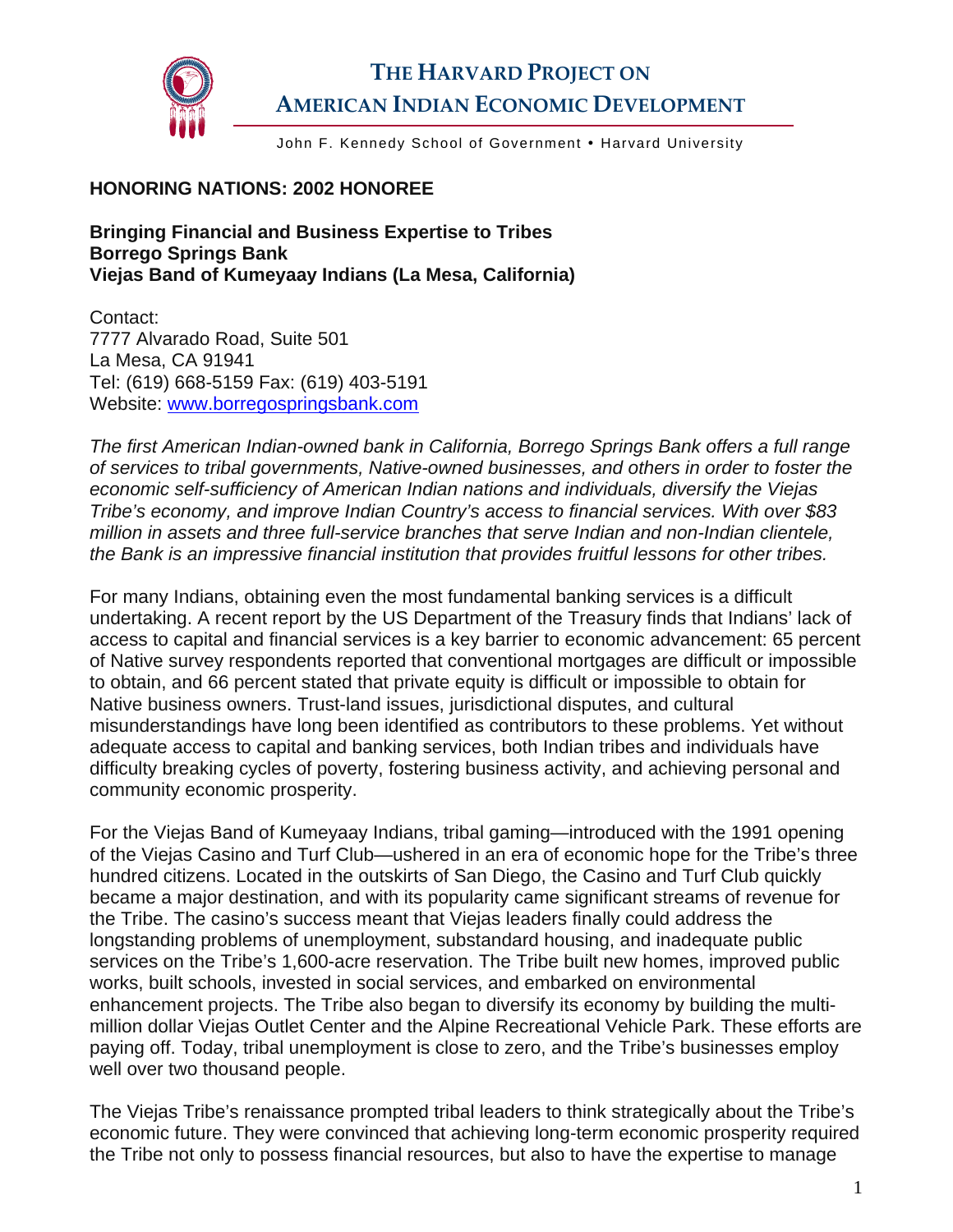

## **THE HARVARD PROJECT ON AMERICAN INDIAN ECONOMIC DEVELOPMENT**

John F. Kennedy School of Government . Harvard University

## **HONORING NATIONS: 2002 HONOREE**

**Bringing Financial and Business Expertise to Tribes Borrego Springs Bank Viejas Band of Kumeyaay Indians (La Mesa, California)** 

Contact: 7777 Alvarado Road, Suite 501 La Mesa, CA 91941 Tel: (619) 668-5159 Fax: (619) 403-5191 Website: [www.borregospringsbank.com](http://www.borregospringsbank.com/)

*The first American Indian-owned bank in California, Borrego Springs Bank offers a full range of services to tribal governments, Native-owned businesses, and others in order to foster the economic self-sufficiency of American Indian nations and individuals, diversify the Viejas Tribe's economy, and improve Indian Country's access to financial services. With over \$83 million in assets and three full-service branches that serve Indian and non-Indian clientele, the Bank is an impressive financial institution that provides fruitful lessons for other tribes.* 

For many Indians, obtaining even the most fundamental banking services is a difficult undertaking. A recent report by the US Department of the Treasury finds that Indians' lack of access to capital and financial services is a key barrier to economic advancement: 65 percent of Native survey respondents reported that conventional mortgages are difficult or impossible to obtain, and 66 percent stated that private equity is difficult or impossible to obtain for Native business owners. Trust-land issues, jurisdictional disputes, and cultural misunderstandings have long been identified as contributors to these problems. Yet without adequate access to capital and banking services, both Indian tribes and individuals have difficulty breaking cycles of poverty, fostering business activity, and achieving personal and community economic prosperity.

For the Viejas Band of Kumeyaay Indians, tribal gaming—introduced with the 1991 opening of the Viejas Casino and Turf Club—ushered in an era of economic hope for the Tribe's three hundred citizens. Located in the outskirts of San Diego, the Casino and Turf Club quickly became a major destination, and with its popularity came significant streams of revenue for the Tribe. The casino's success meant that Viejas leaders finally could address the longstanding problems of unemployment, substandard housing, and inadequate public services on the Tribe's 1,600-acre reservation. The Tribe built new homes, improved public works, built schools, invested in social services, and embarked on environmental enhancement projects. The Tribe also began to diversify its economy by building the multimillion dollar Viejas Outlet Center and the Alpine Recreational Vehicle Park. These efforts are paying off. Today, tribal unemployment is close to zero, and the Tribe's businesses employ well over two thousand people.

The Viejas Tribe's renaissance prompted tribal leaders to think strategically about the Tribe's economic future. They were convinced that achieving long-term economic prosperity required the Tribe not only to possess financial resources, but also to have the expertise to manage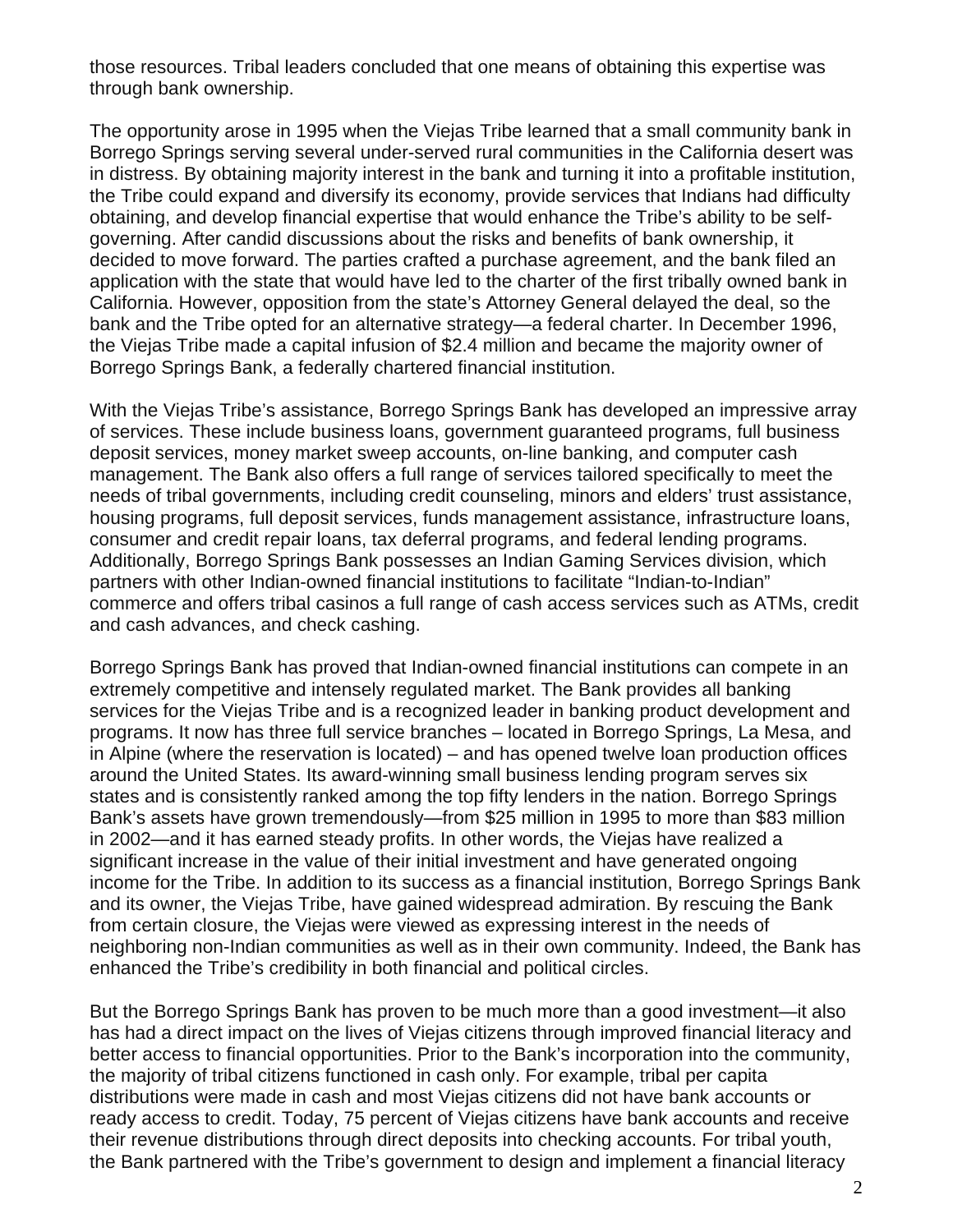those resources. Tribal leaders concluded that one means of obtaining this expertise was through bank ownership.

The opportunity arose in 1995 when the Viejas Tribe learned that a small community bank in Borrego Springs serving several under-served rural communities in the California desert was in distress. By obtaining majority interest in the bank and turning it into a profitable institution, the Tribe could expand and diversify its economy, provide services that Indians had difficulty obtaining, and develop financial expertise that would enhance the Tribe's ability to be selfgoverning. After candid discussions about the risks and benefits of bank ownership, it decided to move forward. The parties crafted a purchase agreement, and the bank filed an application with the state that would have led to the charter of the first tribally owned bank in California. However, opposition from the state's Attorney General delayed the deal, so the bank and the Tribe opted for an alternative strategy—a federal charter. In December 1996, the Viejas Tribe made a capital infusion of \$2.4 million and became the majority owner of Borrego Springs Bank, a federally chartered financial institution.

With the Viejas Tribe's assistance, Borrego Springs Bank has developed an impressive array of services. These include business loans, government guaranteed programs, full business deposit services, money market sweep accounts, on-line banking, and computer cash management. The Bank also offers a full range of services tailored specifically to meet the needs of tribal governments, including credit counseling, minors and elders' trust assistance, housing programs, full deposit services, funds management assistance, infrastructure loans, consumer and credit repair loans, tax deferral programs, and federal lending programs. Additionally, Borrego Springs Bank possesses an Indian Gaming Services division, which partners with other Indian-owned financial institutions to facilitate "Indian-to-Indian" commerce and offers tribal casinos a full range of cash access services such as ATMs, credit and cash advances, and check cashing.

Borrego Springs Bank has proved that Indian-owned financial institutions can compete in an extremely competitive and intensely regulated market. The Bank provides all banking services for the Viejas Tribe and is a recognized leader in banking product development and programs. It now has three full service branches – located in Borrego Springs, La Mesa, and in Alpine (where the reservation is located) – and has opened twelve loan production offices around the United States. Its award-winning small business lending program serves six states and is consistently ranked among the top fifty lenders in the nation. Borrego Springs Bank's assets have grown tremendously—from \$25 million in 1995 to more than \$83 million in 2002—and it has earned steady profits. In other words, the Viejas have realized a significant increase in the value of their initial investment and have generated ongoing income for the Tribe. In addition to its success as a financial institution, Borrego Springs Bank and its owner, the Viejas Tribe, have gained widespread admiration. By rescuing the Bank from certain closure, the Viejas were viewed as expressing interest in the needs of neighboring non-Indian communities as well as in their own community. Indeed, the Bank has enhanced the Tribe's credibility in both financial and political circles.

But the Borrego Springs Bank has proven to be much more than a good investment—it also has had a direct impact on the lives of Viejas citizens through improved financial literacy and better access to financial opportunities. Prior to the Bank's incorporation into the community, the majority of tribal citizens functioned in cash only. For example, tribal per capita distributions were made in cash and most Viejas citizens did not have bank accounts or ready access to credit. Today, 75 percent of Viejas citizens have bank accounts and receive their revenue distributions through direct deposits into checking accounts. For tribal youth, the Bank partnered with the Tribe's government to design and implement a financial literacy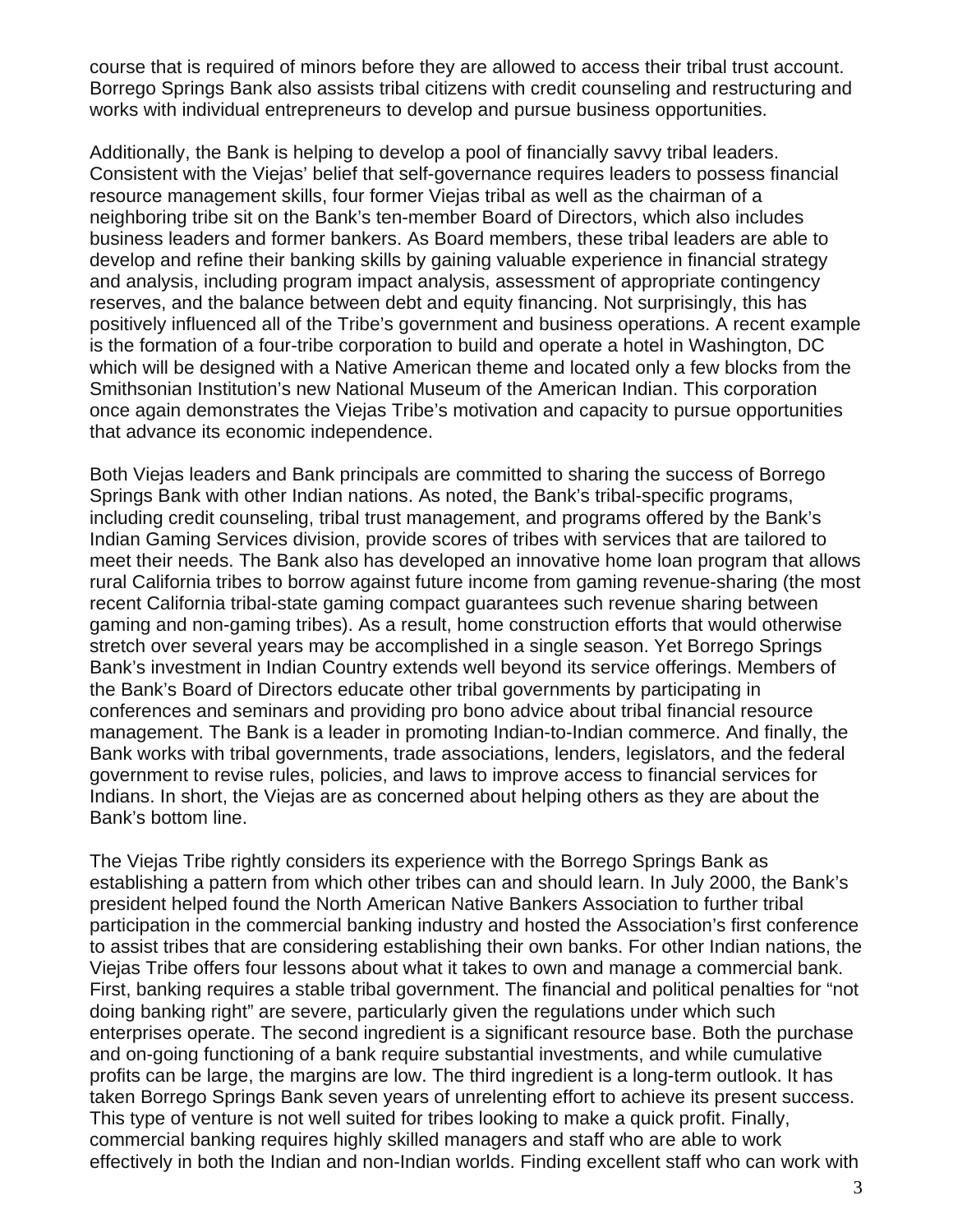course that is required of minors before they are allowed to access their tribal trust account. Borrego Springs Bank also assists tribal citizens with credit counseling and restructuring and works with individual entrepreneurs to develop and pursue business opportunities.

Additionally, the Bank is helping to develop a pool of financially savvy tribal leaders. Consistent with the Viejas' belief that self-governance requires leaders to possess financial resource management skills, four former Viejas tribal as well as the chairman of a neighboring tribe sit on the Bank's ten-member Board of Directors, which also includes business leaders and former bankers. As Board members, these tribal leaders are able to develop and refine their banking skills by gaining valuable experience in financial strategy and analysis, including program impact analysis, assessment of appropriate contingency reserves, and the balance between debt and equity financing. Not surprisingly, this has positively influenced all of the Tribe's government and business operations. A recent example is the formation of a four-tribe corporation to build and operate a hotel in Washington, DC which will be designed with a Native American theme and located only a few blocks from the Smithsonian Institution's new National Museum of the American Indian. This corporation once again demonstrates the Viejas Tribe's motivation and capacity to pursue opportunities that advance its economic independence.

Both Viejas leaders and Bank principals are committed to sharing the success of Borrego Springs Bank with other Indian nations. As noted, the Bank's tribal-specific programs, including credit counseling, tribal trust management, and programs offered by the Bank's Indian Gaming Services division, provide scores of tribes with services that are tailored to meet their needs. The Bank also has developed an innovative home loan program that allows rural California tribes to borrow against future income from gaming revenue-sharing (the most recent California tribal-state gaming compact guarantees such revenue sharing between gaming and non-gaming tribes). As a result, home construction efforts that would otherwise stretch over several years may be accomplished in a single season. Yet Borrego Springs Bank's investment in Indian Country extends well beyond its service offerings. Members of the Bank's Board of Directors educate other tribal governments by participating in conferences and seminars and providing pro bono advice about tribal financial resource management. The Bank is a leader in promoting Indian-to-Indian commerce. And finally, the Bank works with tribal governments, trade associations, lenders, legislators, and the federal government to revise rules, policies, and laws to improve access to financial services for Indians. In short, the Viejas are as concerned about helping others as they are about the Bank's bottom line.

The Viejas Tribe rightly considers its experience with the Borrego Springs Bank as establishing a pattern from which other tribes can and should learn. In July 2000, the Bank's president helped found the North American Native Bankers Association to further tribal participation in the commercial banking industry and hosted the Association's first conference to assist tribes that are considering establishing their own banks. For other Indian nations, the Viejas Tribe offers four lessons about what it takes to own and manage a commercial bank. First, banking requires a stable tribal government. The financial and political penalties for "not doing banking right" are severe, particularly given the regulations under which such enterprises operate. The second ingredient is a significant resource base. Both the purchase and on-going functioning of a bank require substantial investments, and while cumulative profits can be large, the margins are low. The third ingredient is a long-term outlook. It has taken Borrego Springs Bank seven years of unrelenting effort to achieve its present success. This type of venture is not well suited for tribes looking to make a quick profit. Finally, commercial banking requires highly skilled managers and staff who are able to work effectively in both the Indian and non-Indian worlds. Finding excellent staff who can work with